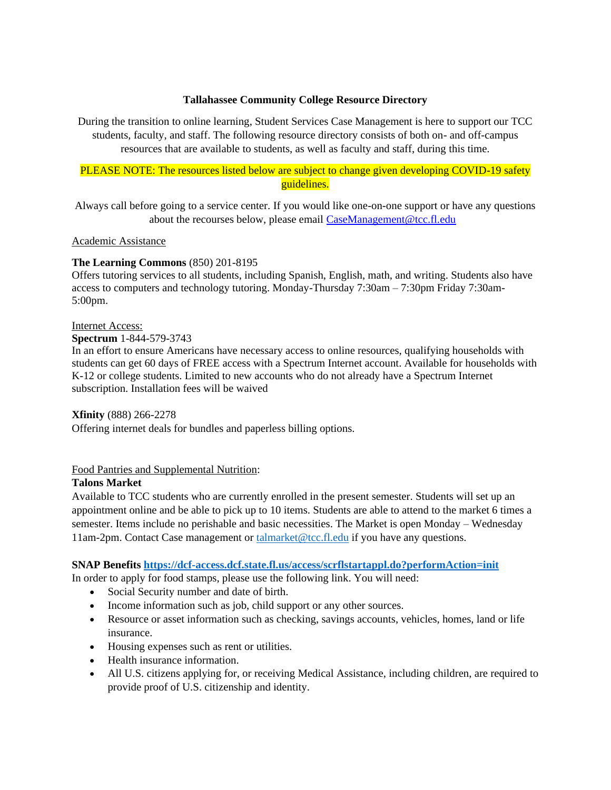#### **Tallahassee Community College Resource Directory**

During the transition to online learning, Student Services Case Management is here to support our TCC students, faculty, and staff. The following resource directory consists of both on- and off-campus resources that are available to students, as well as faculty and staff, during this time.

# PLEASE NOTE: The resources listed below are subject to change given developing COVID-19 safety guidelines.

Always call before going to a service center. If you would like one-on-one support or have any questions about the recourses below, please email [CaseManagement@tcc.fl.edu](mailto:CaseManagement@tcc.fl.edu)

### Academic Assistance

### **The Learning Commons** (850) 201-8195

Offers tutoring services to all students, including Spanish, English, math, and writing. Students also have access to computers and technology tutoring. Monday-Thursday 7:30am – 7:30pm Friday 7:30am-5:00pm.

#### Internet Access:

#### **Spectrum** 1-844-579-3743

In an effort to ensure Americans have necessary access to online resources, qualifying households with students can get 60 days of FREE access with a Spectrum Internet account. Available for households with K-12 or college students. Limited to new accounts who do not already have a Spectrum Internet subscription. Installation fees will be waived

### **Xfinity** (888) 266-2278

Offering internet deals for bundles and paperless billing options.

# Food Pantries and Supplemental Nutrition:

### **Talons Market**

Available to TCC students who are currently enrolled in the present semester. Students will set up an appointment online and be able to pick up to 10 items. Students are able to attend to the market 6 times a semester. Items include no perishable and basic necessities. The Market is open Monday – Wednesday 11am-2pm. Contact Case management or [talmarket@tcc.fl.edu](mailto:talmarket@tcc.fl.edu) if you have any questions.

### **SNAP Benefits<https://dcf-access.dcf.state.fl.us/access/scrflstartappl.do?performAction=init>**

In order to apply for food stamps, please use the following link. You will need:

- Social Security number and date of birth.
- Income information such as job, child support or any other sources.
- Resource or asset information such as checking, savings accounts, vehicles, homes, land or life insurance.
- Housing expenses such as rent or utilities.
- Health insurance information.
- All U.S. citizens applying for, or receiving Medical Assistance, including children, are required to provide proof of U.S. citizenship and identity.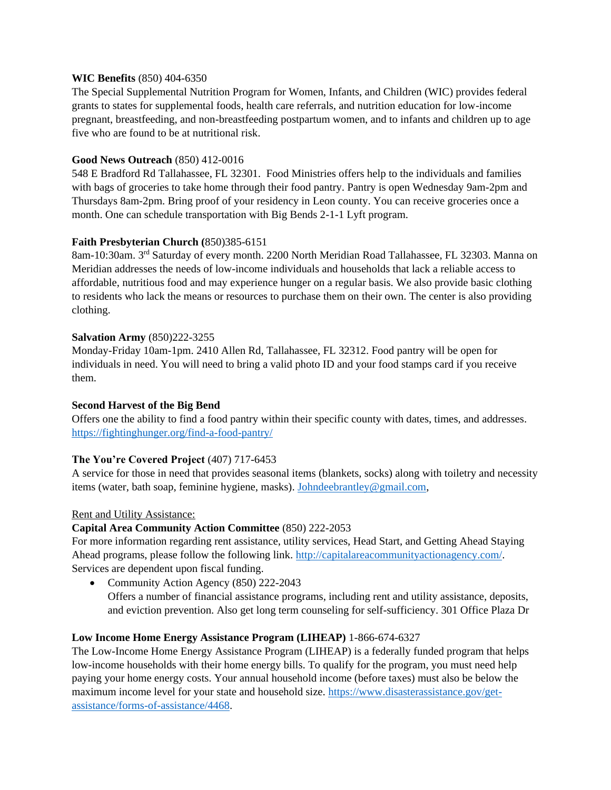### **WIC Benefits** (850) 404-6350

The Special Supplemental Nutrition Program for Women, Infants, and Children (WIC) provides federal grants to states for supplemental foods, health care referrals, and nutrition education for low-income pregnant, breastfeeding, and non-breastfeeding postpartum women, and to infants and children up to age five who are found to be at nutritional risk.

#### **Good News Outreach** (850) 412-0016

548 E Bradford Rd Tallahassee, FL 32301. Food Ministries offers help to the individuals and families with bags of groceries to take home through their food pantry. Pantry is open Wednesday 9am-2pm and Thursdays 8am-2pm. Bring proof of your residency in Leon county. You can receive groceries once a month. One can schedule transportation with Big Bends 2-1-1 Lyft program.

### **Faith Presbyterian Church (**850)385-6151

8am-10:30am. 3rd Saturday of every month. 2200 North Meridian Road Tallahassee, FL 32303. Manna on Meridian addresses the needs of low-income individuals and households that lack a reliable access to affordable, nutritious food and may experience hunger on a regular basis. We also provide basic clothing to residents who lack the means or resources to purchase them on their own. The center is also providing clothing.

#### **Salvation Army** (850)222-3255

Monday-Friday 10am-1pm. 2410 Allen Rd, Tallahassee, FL 32312. Food pantry will be open for individuals in need. You will need to bring a valid photo ID and your food stamps card if you receive them.

### **Second Harvest of the Big Bend**

Offers one the ability to find a food pantry within their specific county with dates, times, and addresses. <https://fightinghunger.org/find-a-food-pantry/>

#### **The You're Covered Project** (407) 717-6453

A service for those in need that provides seasonal items (blankets, socks) along with toiletry and necessity items (water, bath soap, feminine hygiene, masks). [Johndeebrantley@gmail.com,](mailto:Johndeebrantley@gmail.com)

#### Rent and Utility Assistance:

### **Capital Area Community Action Committee** (850) 222-2053

For more information regarding rent assistance, utility services, Head Start, and Getting Ahead Staying Ahead programs, please follow the following link. [http://capitalareacommunityactionagency.com/.](http://capitalareacommunityactionagency.com/) Services are dependent upon fiscal funding.

• Community Action Agency (850) 222-2043 Offers a number of financial assistance programs, including rent and utility assistance, deposits, and eviction prevention. Also get long term counseling for self-sufficiency. 301 Office Plaza Dr

#### **Low Income Home Energy Assistance Program (LIHEAP)** 1-866-674-6327

The Low-Income Home Energy Assistance Program (LIHEAP) is a federally funded program that helps low-income households with their home energy bills. To qualify for the program, you must need help paying your home energy costs. Your annual household income (before taxes) must also be below the maximum income level for your state and household size. [https://www.disasterassistance.gov/get](https://www.disasterassistance.gov/get-assistance/forms-of-assistance/4468)[assistance/forms-of-assistance/4468.](https://www.disasterassistance.gov/get-assistance/forms-of-assistance/4468)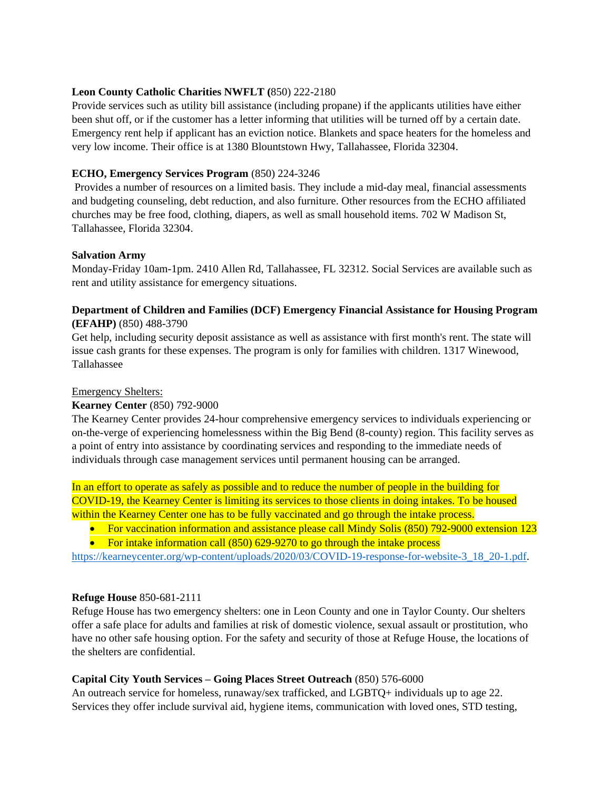### **Leon County Catholic Charities NWFLT (**850) 222-2180

Provide services such as utility bill assistance (including propane) if the applicants utilities have either been shut off, or if the customer has a letter informing that utilities will be turned off by a certain date. Emergency rent help if applicant has an eviction notice. Blankets and space heaters for the homeless and very low income. Their office is at 1380 Blountstown Hwy, Tallahassee, Florida 32304.

# **ECHO, Emergency Services Program** (850) 224-3246

Provides a number of resources on a limited basis. They include a mid-day meal, financial assessments and budgeting counseling, debt reduction, and also furniture. Other resources from the ECHO affiliated churches may be free food, clothing, diapers, as well as small household items. 702 W Madison St, Tallahassee, Florida 32304.

### **Salvation Army**

Monday-Friday 10am-1pm. 2410 Allen Rd, Tallahassee, FL 32312. Social Services are available such as rent and utility assistance for emergency situations.

### **Department of Children and Families (DCF) Emergency Financial Assistance for Housing Program (EFAHP)** (850) 488-3790

Get help, including security deposit assistance as well as assistance with first month's rent. The state will issue cash grants for these expenses. The program is only for families with children. 1317 Winewood, Tallahassee

#### Emergency Shelters:

### **Kearney Center** (850) 792-9000

The Kearney Center provides 24-hour comprehensive emergency services to individuals experiencing or on-the-verge of experiencing homelessness within the Big Bend (8-county) region. This facility serves as a point of entry into assistance by coordinating services and responding to the immediate needs of individuals through case management services until permanent housing can be arranged.

In an effort to operate as safely as possible and to reduce the number of people in the building for COVID-19, the Kearney Center is limiting its services to those clients in doing intakes. To be housed within the Kearney Center one has to be fully vaccinated and go through the intake process.

- For vaccination information and assistance please call Mindy Solis (850) 792-9000 extension 123
- For intake information call  $(850)$  629-9270 to go through the intake process

[https://kearneycenter.org/wp-content/uploads/2020/03/COVID-19-response-for-website-3\\_18\\_20-1.pdf.](https://kearneycenter.org/wp-content/uploads/2020/03/COVID-19-response-for-website-3_18_20-1.pdf)

### **Refuge House** 850-681-2111

Refuge House has two emergency shelters: one in Leon County and one in Taylor County. Our shelters offer a safe place for adults and families at risk of domestic violence, sexual assault or prostitution, who have no other safe housing option. For the safety and security of those at Refuge House, the locations of the shelters are confidential.

### **Capital City Youth Services – Going Places Street Outreach** (850) 576-6000

An outreach service for homeless, runaway/sex trafficked, and LGBTQ+ individuals up to age 22. Services they offer include survival aid, hygiene items, communication with loved ones, STD testing,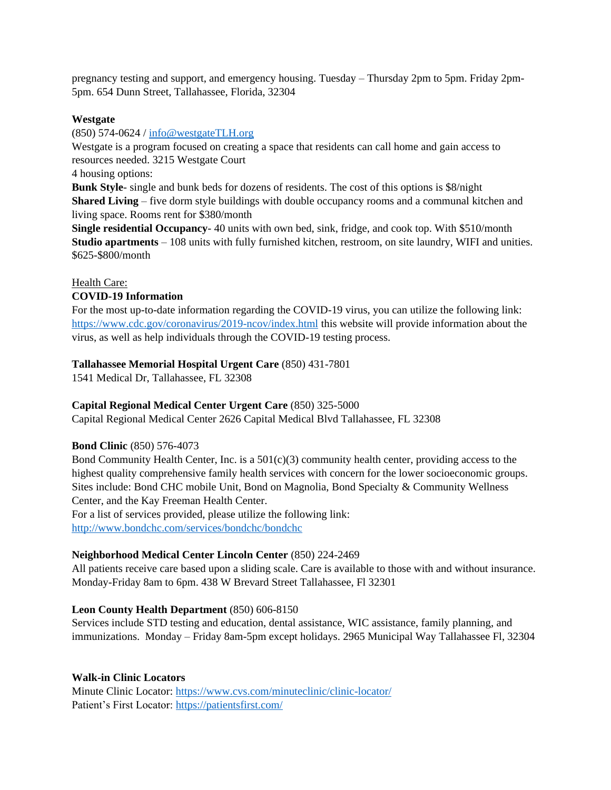pregnancy testing and support, and emergency housing. Tuesday – Thursday 2pm to 5pm. Friday 2pm-5pm. 654 Dunn Street, Tallahassee, Florida, 32304

### **Westgate**

(850) 574-0624 / [info@westgateTLH.org](mailto:info@westgateTLH.org)

Westgate is a program focused on creating a space that residents can call home and gain access to resources needed. 3215 Westgate Court

4 housing options:

**Bunk Style**- single and bunk beds for dozens of residents. The cost of this options is \$8/night **Shared Living** – five dorm style buildings with double occupancy rooms and a communal kitchen and living space. Rooms rent for \$380/month

**Single residential Occupancy**- 40 units with own bed, sink, fridge, and cook top. With \$510/month **Studio apartments** – 108 units with fully furnished kitchen, restroom, on site laundry, WIFI and unities. \$625-\$800/month

## Health Care:

## **COVID-19 Information**

For the most up-to-date information regarding the COVID-19 virus, you can utilize the following link: <https://www.cdc.gov/coronavirus/2019-ncov/index.html> this website will provide information about the virus, as well as help individuals through the COVID-19 testing process.

# **Tallahassee Memorial Hospital Urgent Care** (850) 431-7801

1541 Medical Dr, Tallahassee, FL 32308

# **Capital Regional Medical Center Urgent Care** (850) 325-5000

Capital Regional Medical Center 2626 Capital Medical Blvd Tallahassee, FL 32308

### **Bond Clinic** (850) 576-4073

Bond Community Health Center, Inc. is a  $501(c)(3)$  community health center, providing access to the highest quality comprehensive family health services with concern for the lower socioeconomic groups. Sites include: Bond CHC mobile Unit, Bond on Magnolia, Bond Specialty & Community Wellness Center, and the Kay Freeman Health Center. For a list of services provided, please utilize the following link:

<http://www.bondchc.com/services/bondchc/bondchc>

# **Neighborhood Medical Center Lincoln Center** (850) 224-2469

All patients receive care based upon a sliding scale. Care is available to those with and without insurance. Monday-Friday 8am to 6pm. 438 W Brevard Street Tallahassee, Fl 32301

# **Leon County Health Department** (850) 606-8150

Services include STD testing and education, dental assistance, WIC assistance, family planning, and immunizations. Monday – Friday 8am-5pm except holidays. 2965 Municipal Way Tallahassee Fl, 32304

# **Walk-in Clinic Locators**

Minute Clinic Locator:<https://www.cvs.com/minuteclinic/clinic-locator/> Patient's First Locator:<https://patientsfirst.com/>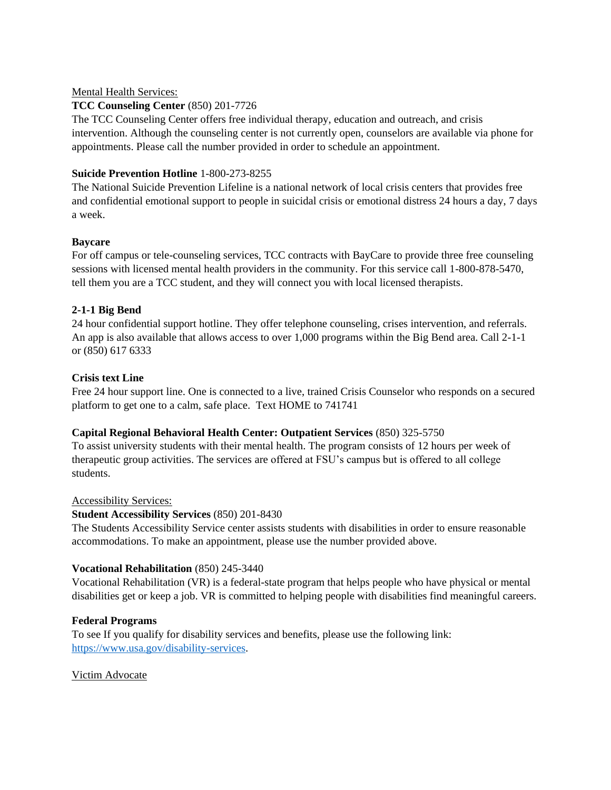### Mental Health Services:

# **TCC Counseling Center** (850) 201-7726

The TCC Counseling Center offers free individual therapy, education and outreach, and crisis intervention. Although the counseling center is not currently open, counselors are available via phone for appointments. Please call the number provided in order to schedule an appointment.

# **Suicide Prevention Hotline** 1-800-273-8255

The National Suicide Prevention Lifeline is a national network of local crisis centers that provides free and confidential emotional support to people in suicidal crisis or emotional distress 24 hours a day, 7 days a week.

## **Baycare**

For off campus or tele-counseling services, TCC contracts with BayCare to provide three free counseling sessions with licensed mental health providers in the community. For this service call 1-800-878-5470, tell them you are a TCC student, and they will connect you with local licensed therapists.

## **2-1-1 Big Bend**

24 hour confidential support hotline. They offer telephone counseling, crises intervention, and referrals. An app is also available that allows access to over 1,000 programs within the Big Bend area. Call 2-1-1 or (850) 617 6333

## **Crisis text Line**

Free 24 hour support line. One is connected to a live, trained Crisis Counselor who responds on a secured platform to get one to a calm, safe place. Text HOME to 741741

### **Capital Regional Behavioral Health Center: Outpatient Services** (850) 325-5750

To assist university students with their mental health. The program consists of 12 hours per week of therapeutic group activities. The services are offered at FSU's campus but is offered to all college students.

### Accessibility Services:

### **Student Accessibility Services** (850) 201-8430

The Students Accessibility Service center assists students with disabilities in order to ensure reasonable accommodations. To make an appointment, please use the number provided above.

# **Vocational Rehabilitation** (850) 245-3440

Vocational Rehabilitation (VR) is a federal-state program that helps people who have physical or mental disabilities get or keep a job. VR is committed to helping people with disabilities find meaningful careers.

# **Federal Programs**

To see If you qualify for disability services and benefits, please use the following link: [https://www.usa.gov/disability-services.](https://www.usa.gov/disability-services)

# Victim Advocate